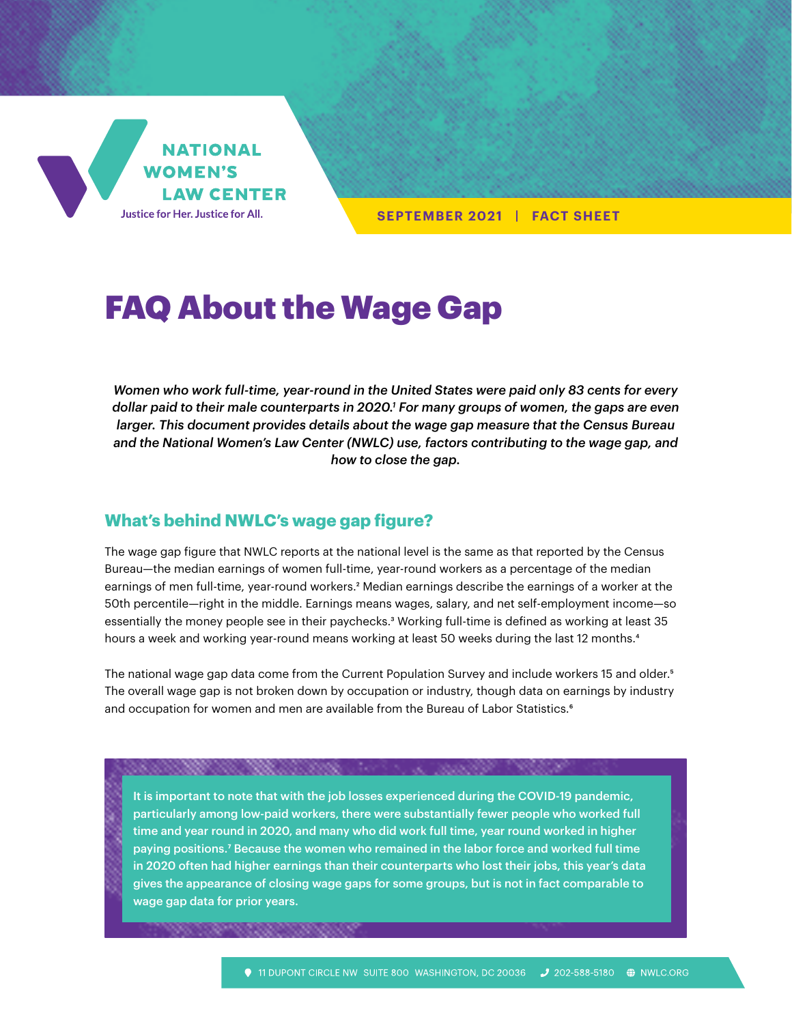

**SEPTEMBER 2021 | FACT SHEET**

# FAQ About the Wage Gap

*Women who work full-time, year-round in the United States were paid only 83 cents for every dollar paid to their male counterparts in 2020.1 For many groups of women, the gaps are even larger. This document provides details about the wage gap measure that the Census Bureau and the National Women's Law Center (NWLC) use, factors contributing to the wage gap, and how to close the gap.*

#### **What's behind NWLC's wage gap figure?**

The wage gap figure that NWLC reports at the national level is the same as that reported by the Census Bureau—the median earnings of women full-time, year-round workers as a percentage of the median earnings of men full-time, year-round workers.<sup>2</sup> Median earnings describe the earnings of a worker at the 50th percentile—right in the middle. Earnings means wages, salary, and net self-employment income—so essentially the money people see in their paychecks.<sup>3</sup> Working full-time is defined as working at least 35 hours a week and working year-round means working at least 50 weeks during the last 12 months.<sup>4</sup>

The national wage gap data come from the Current Population Survey and include workers 15 and older.<sup>5</sup> The overall wage gap is not broken down by occupation or industry, though data on earnings by industry and occupation for women and men are available from the Bureau of Labor Statistics.<sup>6</sup>

It is important to note that with the job losses experienced during the COVID-19 pandemic, particularly among low-paid workers, there were substantially fewer people who worked full time and year round in 2020, and many who did work full time, year round worked in higher paying positions.7 Because the women who remained in the labor force and worked full time in 2020 often had higher earnings than their counterparts who lost their jobs, this year's data gives the appearance of closing wage gaps for some groups, but is not in fact comparable to wage gap data for prior years.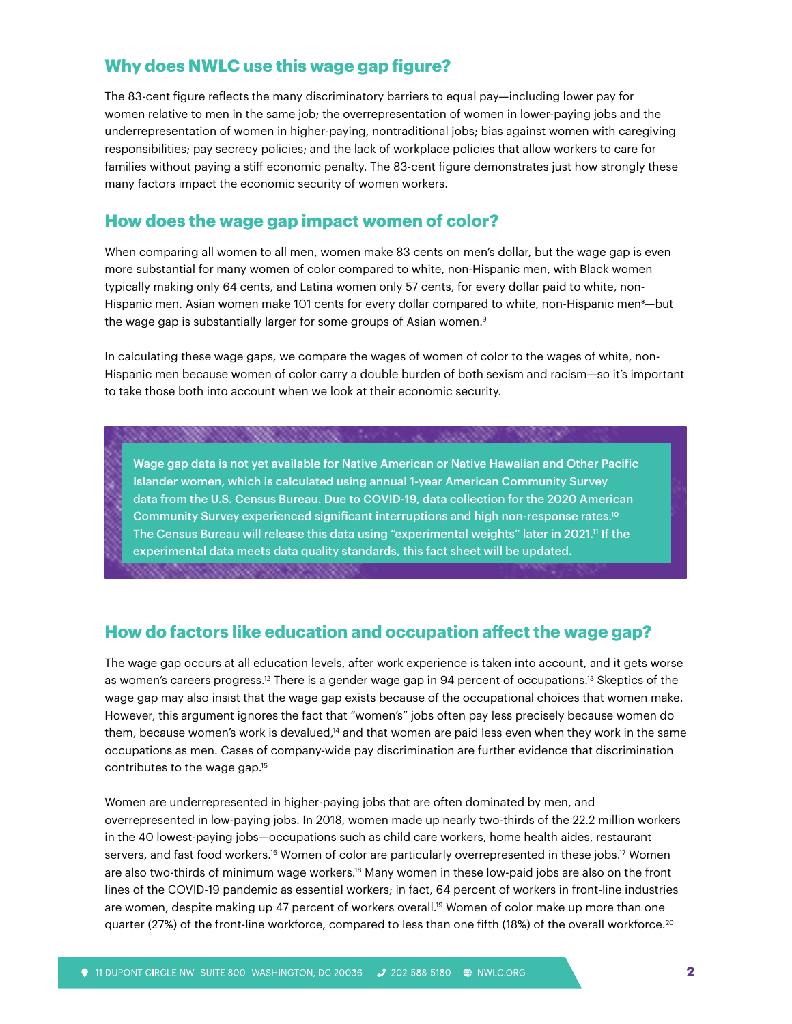### **Why does NWLC use this wage gap figure?**

The 83-cent figure reflects the many discriminatory barriers to equal pay—including lower pay for women relative to men in the same job; the overrepresentation of women in lower-paying jobs and the underrepresentation of women in higher-paying, nontraditional jobs; bias against women with caregiving responsibilities; pay secrecy policies; and the lack of workplace policies that allow workers to care for families without paying a stiff economic penalty. The 83-cent figure demonstrates just how strongly these many factors impact the economic security of women workers.

#### **How does the wage gap impact women of color?**

When comparing all women to all men, women make 83 cents on men's dollar, but the wage gap is even more substantial for many women of color compared to white, non-Hispanic men, with Black women typically making only 64 cents, and Latina women only 57 cents, for every dollar paid to white, non-Hispanic men. Asian women make 101 cents for every dollar compared to white, non-Hispanic men<sup>8</sup>-but the wage gap is substantially larger for some groups of Asian women.<sup>9</sup>

In calculating these wage gaps, we compare the wages of women of color to the wages of white, non-Hispanic men because women of color carry a double burden of both sexism and racism—so it's important to take those both into account when we look at their economic security.

Wage gap data is not yet available for Native American or Native Hawaiian and Other Pacific Islander women, which is calculated using annual 1-year American Community Survey data from the U.S. Census Bureau. Due to COVID-19, data collection for the 2020 American Community Survey experienced significant interruptions and high non-response rates.10 The Census Bureau will release this data using "experimental weights" later in 2021.<sup>11</sup> If the experimental data meets data quality standards, this fact sheet will be updated.

## **How do factors like education and occupation affect the wage gap?**

The wage gap occurs at all education levels, after work experience is taken into account, and it gets worse as women's careers progress.<sup>12</sup> There is a gender wage gap in 94 percent of occupations.<sup>13</sup> Skeptics of the wage gap may also insist that the wage gap exists because of the occupational choices that women make. However, this argument ignores the fact that "women's" jobs often pay less precisely because women do them, because women's work is devalued,<sup>14</sup> and that women are paid less even when they work in the same occupations as men. Cases of company-wide pay discrimination are further evidence that discrimination contributes to the wage gap.15

Women are underrepresented in higher-paying jobs that are often dominated by men, and overrepresented in low-paying jobs. In 2018, women made up nearly two-thirds of the 22.2 million workers in the 40 lowest-paying jobs—occupations such as child care workers, home health aides, restaurant servers, and fast food workers.<sup>16</sup> Women of color are particularly overrepresented in these jobs.<sup>17</sup> Women are also two-thirds of minimum wage workers.18 Many women in these low-paid jobs are also on the front lines of the COVID-19 pandemic as essential workers; in fact, 64 percent of workers in front-line industries are women, despite making up 47 percent of workers overall.19 Women of color make up more than one quarter (27%) of the front-line workforce, compared to less than one fifth (18%) of the overall workforce.<sup>20</sup>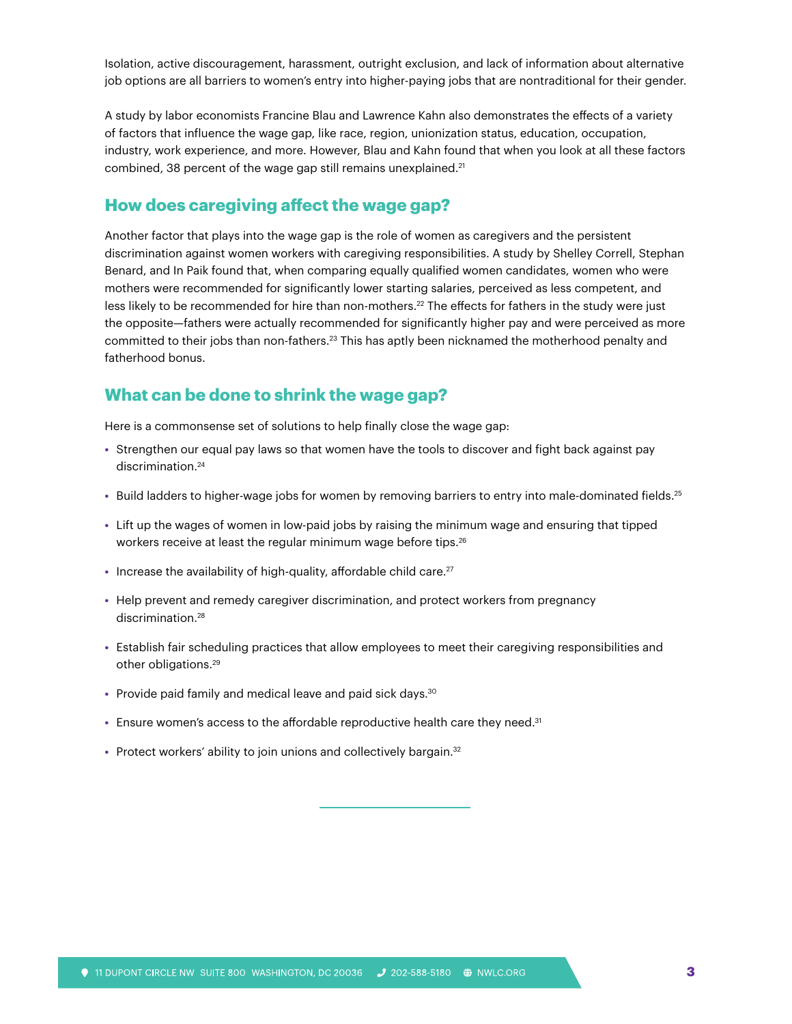Isolation, active discouragement, harassment, outright exclusion, and lack of information about alternative job options are all barriers to women's entry into higher-paying jobs that are nontraditional for their gender.

A study by labor economists Francine Blau and Lawrence Kahn also demonstrates the effects of a variety of factors that influence the wage gap, like race, region, unionization status, education, occupation, industry, work experience, and more. However, Blau and Kahn found that when you look at all these factors combined, 38 percent of the wage gap still remains unexplained.<sup>21</sup>

#### **How does caregiving affect the wage gap?**

Another factor that plays into the wage gap is the role of women as caregivers and the persistent discrimination against women workers with caregiving responsibilities. A study by Shelley Correll, Stephan Benard, and In Paik found that, when comparing equally qualified women candidates, women who were mothers were recommended for significantly lower starting salaries, perceived as less competent, and less likely to be recommended for hire than non-mothers.<sup>22</sup> The effects for fathers in the study were just the opposite—fathers were actually recommended for significantly higher pay and were perceived as more committed to their jobs than non-fathers.23 This has aptly been nicknamed the motherhood penalty and fatherhood bonus.

#### **What can be done to shrink the wage gap?**

Here is a commonsense set of solutions to help finally close the wage gap:

- **•** Strengthen our equal pay laws so that women have the tools to discover and fight back against pay discrimination.<sup>24</sup>
- **•** Build ladders to higher-wage jobs for women by removing barriers to entry into male-dominated fields.25
- **•** Lift up the wages of women in low-paid jobs by raising the minimum wage and ensuring that tipped workers receive at least the regular minimum wage before tips.<sup>26</sup>
- Increase the availability of high-quality, affordable child care.<sup>27</sup>
- **•** Help prevent and remedy caregiver discrimination, and protect workers from pregnancy discrimination.<sup>28</sup>
- **•** Establish fair scheduling practices that allow employees to meet their caregiving responsibilities and other obligations.29
- Provide paid family and medical leave and paid sick days.<sup>30</sup>
- **•** Ensure women's access to the affordable reproductive health care they need.31
- Protect workers' ability to join unions and collectively bargain.<sup>32</sup>